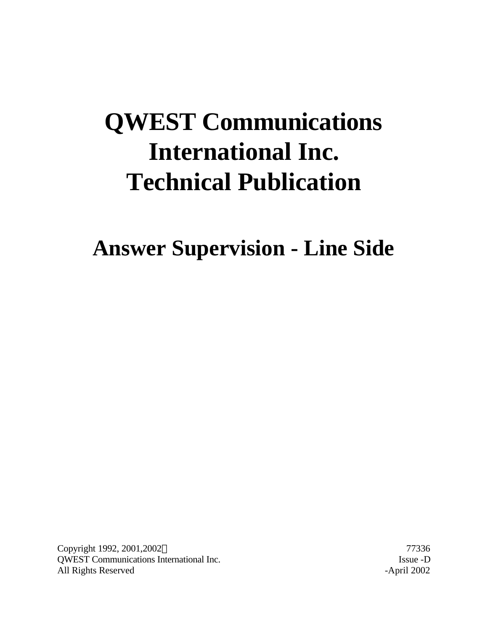# **QWEST Communications International Inc. Technical Publication**

**Answer Supervision - Line Side**

Copyright 1992, 2001,2002© 77336 QWEST Communications International Inc. Issue -D All Rights Reserved -April 2002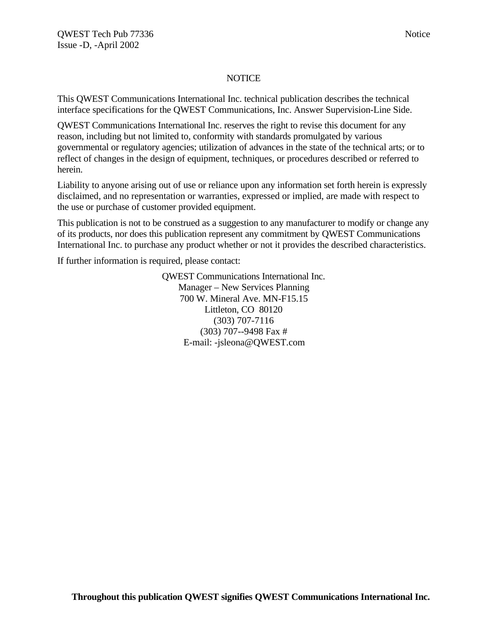#### **NOTICE**

This QWEST Communications International Inc. technical publication describes the technical interface specifications for the QWEST Communications, Inc. Answer Supervision-Line Side.

QWEST Communications International Inc. reserves the right to revise this document for any reason, including but not limited to, conformity with standards promulgated by various governmental or regulatory agencies; utilization of advances in the state of the technical arts; or to reflect of changes in the design of equipment, techniques, or procedures described or referred to herein.

Liability to anyone arising out of use or reliance upon any information set forth herein is expressly disclaimed, and no representation or warranties, expressed or implied, are made with respect to the use or purchase of customer provided equipment.

This publication is not to be construed as a suggestion to any manufacturer to modify or change any of its products, nor does this publication represent any commitment by QWEST Communications International Inc. to purchase any product whether or not it provides the described characteristics.

If further information is required, please contact:

QWEST Communications International Inc. Manager – New Services Planning 700 W. Mineral Ave. MN-F15.15 Littleton, CO 80120 (303) 707-7116 (303) 707--9498 Fax # E-mail: -jsleona@QWEST.com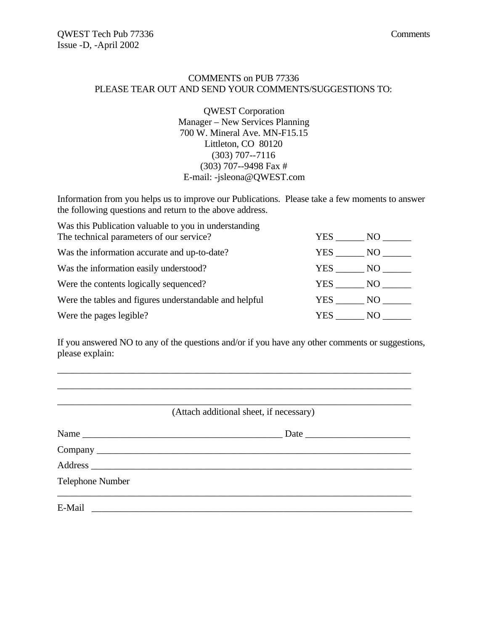#### COMMENTS on PUB 77336 PLEASE TEAR OUT AND SEND YOUR COMMENTS/SUGGESTIONS TO:

QWEST Corporation Manager – New Services Planning 700 W. Mineral Ave. MN-F15.15 Littleton, CO 80120 (303) 707--7116 (303) 707--9498 Fax # E-mail: -jsleona@QWEST.com

Information from you helps us to improve our Publications. Please take a few moments to answer the following questions and return to the above address.

| Was this Publication valuable to you in understanding  |            |      |
|--------------------------------------------------------|------------|------|
| The technical parameters of our service?               | <b>YES</b> | NO - |
| Was the information accurate and up-to-date?           | <b>YES</b> | NO - |
| Was the information easily understood?                 | YES NO     |      |
| Were the contents logically sequenced?                 | YES        | NO   |
| Were the tables and figures understandable and helpful | YES NO     |      |
| Were the pages legible?                                | YES.       | NO.  |

If you answered NO to any of the questions and/or if you have any other comments or suggestions, please explain:

\_\_\_\_\_\_\_\_\_\_\_\_\_\_\_\_\_\_\_\_\_\_\_\_\_\_\_\_\_\_\_\_\_\_\_\_\_\_\_\_\_\_\_\_\_\_\_\_\_\_\_\_\_\_\_\_\_\_\_\_\_\_\_\_\_\_\_\_\_\_\_\_\_\_

|                         | (Attach additional sheet, if necessary) |
|-------------------------|-----------------------------------------|
|                         |                                         |
|                         |                                         |
|                         |                                         |
| <b>Telephone Number</b> |                                         |
| E-Mail                  |                                         |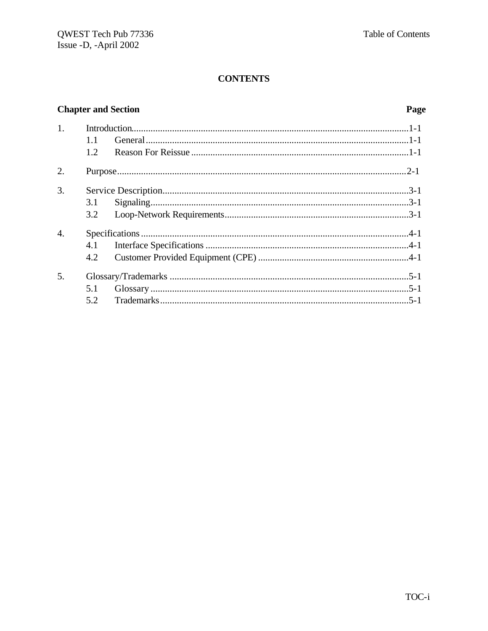# **Chapter and Section**

#### Page

| 1 <sub>1</sub>   | 1.1 |  |
|------------------|-----|--|
|                  | 1.2 |  |
| 2.               |     |  |
| 3.               |     |  |
|                  | 3.1 |  |
|                  | 3.2 |  |
| $\overline{4}$ . |     |  |
|                  | 4.1 |  |
|                  | 4.2 |  |
| 5.               |     |  |
|                  | 5.1 |  |
|                  | 5.2 |  |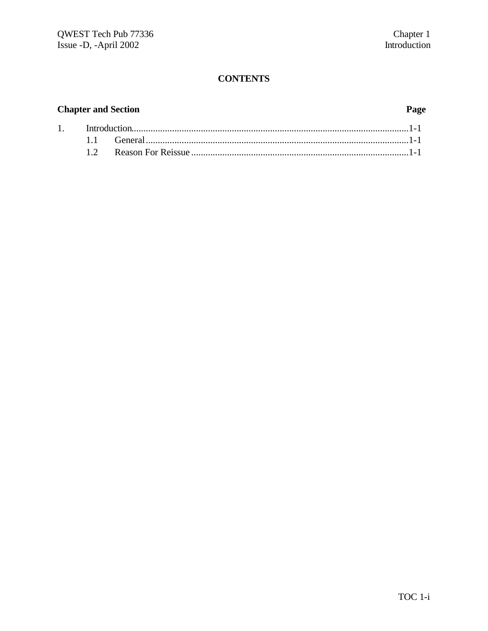# **Chapter and Section**

#### Page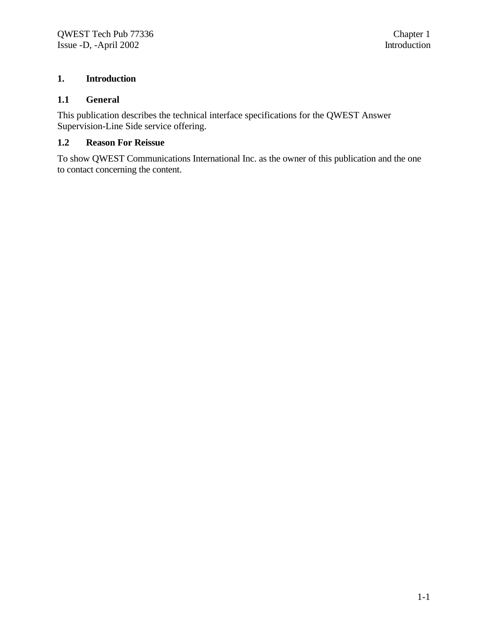#### **1. Introduction**

#### **1.1 General**

This publication describes the technical interface specifications for the QWEST Answer Supervision-Line Side service offering.

#### **1.2 Reason For Reissue**

To show QWEST Communications International Inc. as the owner of this publication and the one to contact concerning the content.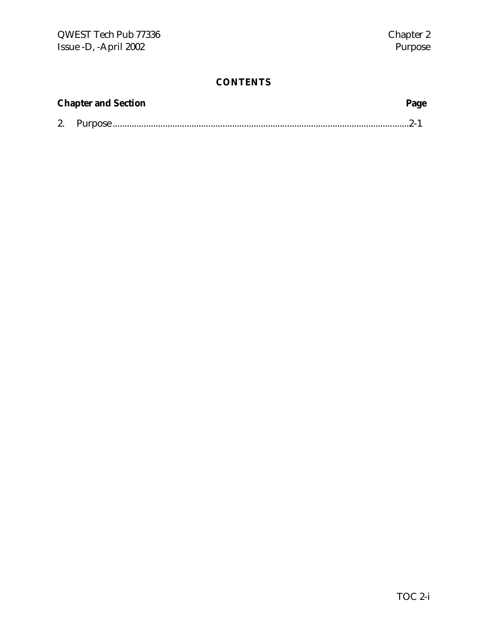| <b>Chapter and Section</b><br>Page |  |  |
|------------------------------------|--|--|
|                                    |  |  |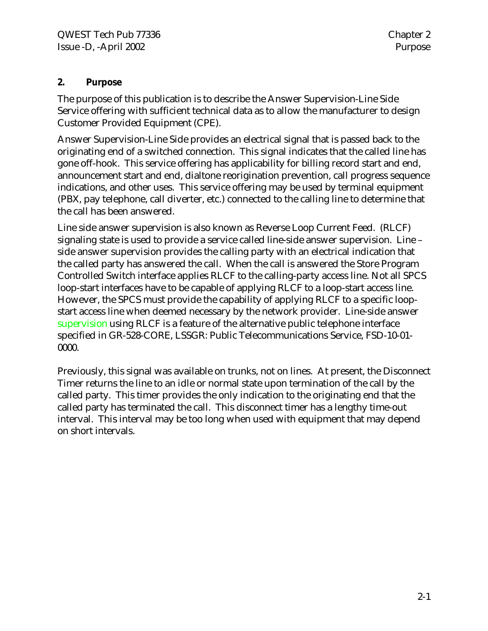### **2. Purpose**

The purpose of this publication is to describe the Answer Supervision-Line Side Service offering with sufficient technical data as to allow the manufacturer to design Customer Provided Equipment (CPE).

Answer Supervision-Line Side provides an electrical signal that is passed back to the originating end of a switched connection. This signal indicates that the called line has gone off-hook. This service offering has applicability for billing record start and end, announcement start and end, dialtone reorigination prevention, call progress sequence indications, and other uses. This service offering may be used by terminal equipment (PBX, pay telephone, call diverter, etc.) connected to the calling line to determine that the call has been answered.

Line side answer supervision is also known as Reverse Loop Current Feed. (RLCF) signaling state is used to provide a service called line-side answer supervision. Line – side answer supervision provides the calling party with an electrical indication that the called party has answered the call. When the call is answered the Store Program Controlled Switch interface applies RLCF to the calling-party access line. Not all SPCS loop-start interfaces have to be capable of applying RLCF to a loop-start access line. However, the SPCS must provide the capability of applying RLCF to a specific loopstart access line when deemed necessary by the network provider. Line-side answer supervision using RLCF is a feature of the alternative public telephone interface specified in GR-528-CORE, LSSGR: Public Telecommunications Service, FSD-10-01- 0000.

Previously, this signal was available on trunks, not on lines. At present, the Disconnect Timer returns the line to an idle or normal state upon termination of the call by the called party. This timer provides the only indication to the originating end that the called party has terminated the call. This disconnect timer has a lengthy time-out interval. This interval may be too long when used with equipment that may depend on short intervals.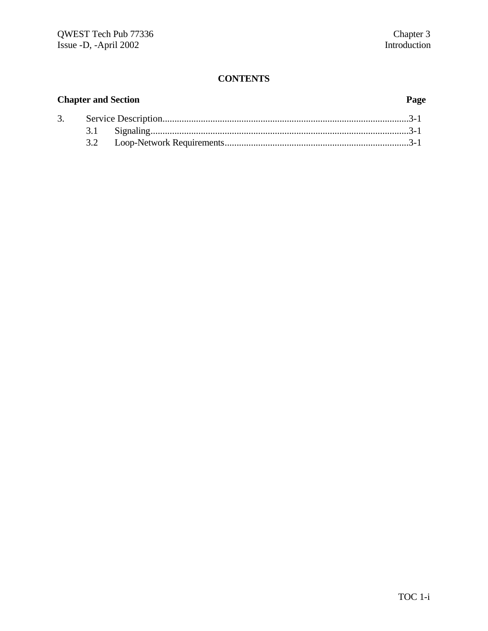# **Chapter and Section Page**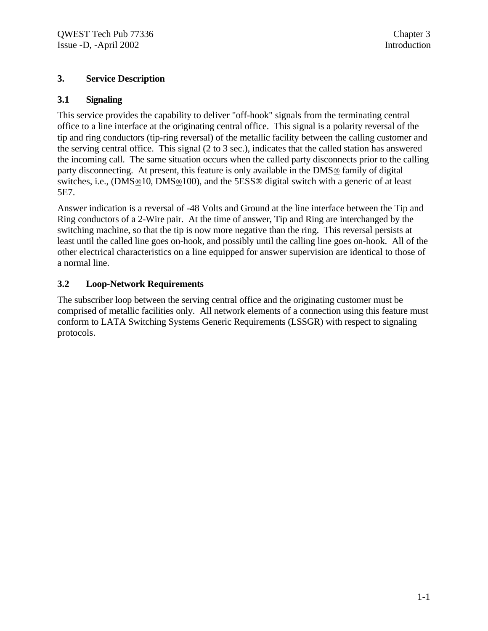#### **3. Service Description**

#### **3.1 Signaling**

This service provides the capability to deliver "off-hook" signals from the terminating central office to a line interface at the originating central office. This signal is a polarity reversal of the tip and ring conductors (tip-ring reversal) of the metallic facility between the calling customer and the serving central office. This signal (2 to 3 sec.), indicates that the called station has answered the incoming call. The same situation occurs when the called party disconnects prior to the calling party disconnecting. At present, this feature is only available in the DMS® family of digital switches, i.e., (DMS®10, DMS®100), and the 5ESS® digital switch with a generic of at least 5E7.

Answer indication is a reversal of -48 Volts and Ground at the line interface between the Tip and Ring conductors of a 2-Wire pair. At the time of answer, Tip and Ring are interchanged by the switching machine, so that the tip is now more negative than the ring. This reversal persists at least until the called line goes on-hook, and possibly until the calling line goes on-hook. All of the other electrical characteristics on a line equipped for answer supervision are identical to those of a normal line.

#### **3.2 Loop-Network Requirements**

The subscriber loop between the serving central office and the originating customer must be comprised of metallic facilities only. All network elements of a connection using this feature must conform to LATA Switching Systems Generic Requirements (LSSGR) with respect to signaling protocols.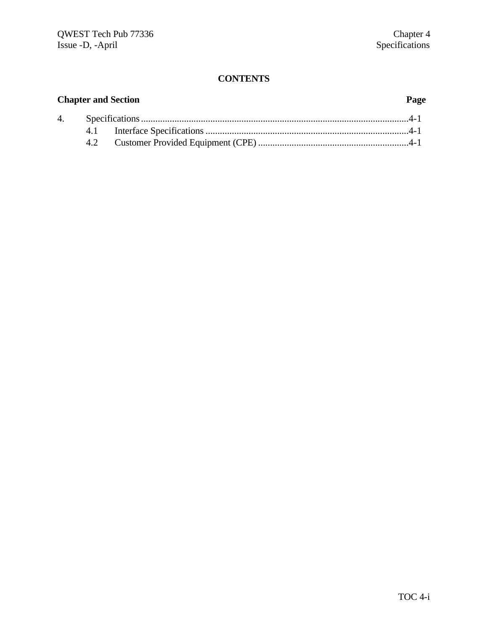# **Chapter and Section Page** 4. Specifications................................................................................................................4-1 4.1 Interface Specifications.....................................................................................4-1 4.2 Customer Provided Equipment (CPE) ...............................................................4-1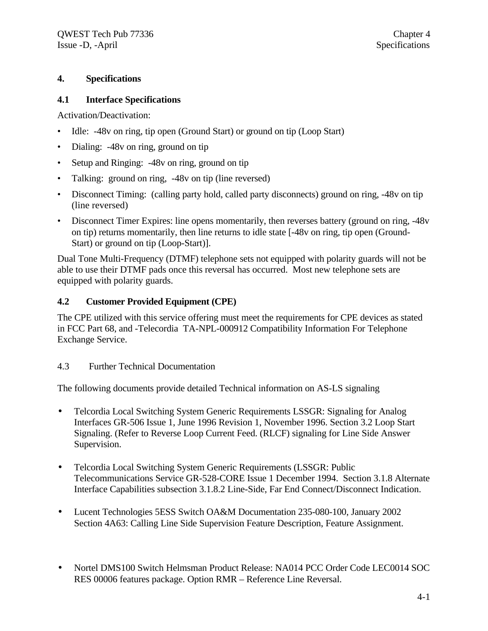#### **4. Specifications**

#### **4.1 Interface Specifications**

Activation/Deactivation:

- Idle: -48v on ring, tip open (Ground Start) or ground on tip (Loop Start)
- Dialing: -48y on ring, ground on tip
- Setup and Ringing: -48y on ring, ground on tip
- Talking: ground on ring,  $-48v$  on tip (line reversed)
- Disconnect Timing: (calling party hold, called party disconnects) ground on ring, -48v on tip (line reversed)
- Disconnect Timer Expires: line opens momentarily, then reverses battery (ground on ring, -48v on tip) returns momentarily, then line returns to idle state [-48v on ring, tip open (Ground-Start) or ground on tip (Loop-Start)].

Dual Tone Multi-Frequency (DTMF) telephone sets not equipped with polarity guards will not be able to use their DTMF pads once this reversal has occurred. Most new telephone sets are equipped with polarity guards.

#### **4.2 Customer Provided Equipment (CPE)**

The CPE utilized with this service offering must meet the requirements for CPE devices as stated in FCC Part 68, and -Telecordia TA-NPL-000912 Compatibility Information For Telephone Exchange Service.

#### 4.3 Further Technical Documentation

The following documents provide detailed Technical information on AS-LS signaling

- Telcordia Local Switching System Generic Requirements LSSGR: Signaling for Analog Interfaces GR-506 Issue 1, June 1996 Revision 1, November 1996. Section 3.2 Loop Start Signaling. (Refer to Reverse Loop Current Feed. (RLCF) signaling for Line Side Answer Supervision.
- Telcordia Local Switching System Generic Requirements (LSSGR: Public Telecommunications Service GR-528-CORE Issue 1 December 1994. Section 3.1.8 Alternate Interface Capabilities subsection 3.1.8.2 Line-Side, Far End Connect/Disconnect Indication.
- Lucent Technologies 5ESS Switch OA&M Documentation 235-080-100, January 2002 Section 4A63: Calling Line Side Supervision Feature Description, Feature Assignment.
- Nortel DMS100 Switch Helmsman Product Release: NA014 PCC Order Code LEC0014 SOC RES 00006 features package. Option RMR – Reference Line Reversal.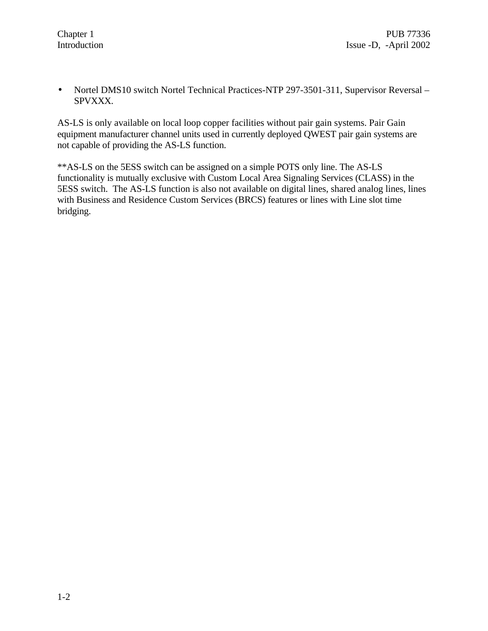• Nortel DMS10 switch Nortel Technical Practices-NTP 297-3501-311, Supervisor Reversal – SPVXXX.

AS-LS is only available on local loop copper facilities without pair gain systems. Pair Gain equipment manufacturer channel units used in currently deployed QWEST pair gain systems are not capable of providing the AS-LS function.

\*\*AS-LS on the 5ESS switch can be assigned on a simple POTS only line. The AS-LS functionality is mutually exclusive with Custom Local Area Signaling Services (CLASS) in the 5ESS switch. The AS-LS function is also not available on digital lines, shared analog lines, lines with Business and Residence Custom Services (BRCS) features or lines with Line slot time bridging.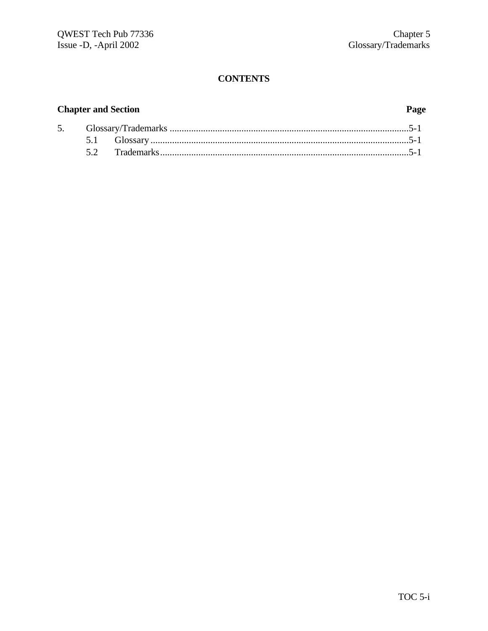### **Chapter and Section Page**